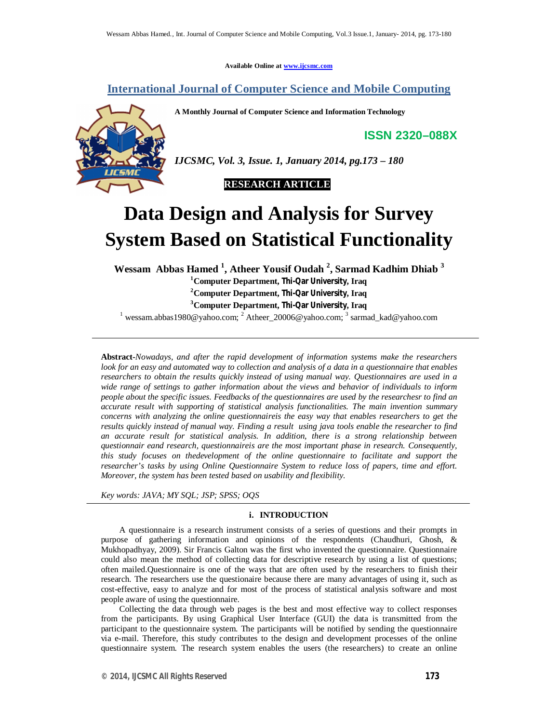**Available Online at www.ijcsmc.com**

# **International Journal of Computer Science and Mobile Computing**

**A Monthly Journal of Computer Science and Information Technology**

**ISSN 2320–088X**



*IJCSMC, Vol. 3, Issue. 1, January 2014, pg.173 – 180*

 **RESEARCH ARTICLE**

# **Data Design and Analysis for Survey System Based on Statistical Functionality**

**Wessam Abbas Hamed <sup>1</sup> , Atheer Yousif Oudah <sup>2</sup> , Sarmad Kadhim Dhiab <sup>3</sup> Computer Department, Thi-Qar University, Iraq Computer Department, Thi-Qar University, Iraq Computer Department, Thi-Qar University, Iraq**

<sup>1</sup> wessam.abbas1980@yahoo.com; <sup>2</sup> Atheer\_20006@yahoo.com; <sup>3</sup> sarmad\_kad@yahoo.com

**Abstract-***Nowadays, and after the rapid development of information systems make the researchers look for an easy and automated way to collection and analysis of a data in a questionnaire that enables researchers to obtain the results quickly instead of using manual way. Questionnaires are used in a wide range of settings to gather information about the views and behavior of individuals to inform people about the specific issues. Feedbacks of the questionnaires are used by the researchesr to find an accurate result with supporting of statistical analysis functionalities. The main invention summary concerns with analyzing the online questionnaireis the easy way that enables researchers to get the results quickly instead of manual way. Finding a result using java tools enable the researcher to find an accurate result for statistical analysis. In addition, there is a strong relationship between questionnair eand research, questionnaireis are the most important phase in research. Consequently, this study focuses on thedevelopment of the online questionnaire to facilitate and support the researcher's tasks by using Online Questionnaire System to reduce loss of papers, time and effort. Moreover, the system has been tested based on usability and flexibility.*

*Key words: JAVA; MY SQL; JSP; SPSS; OQS*

# **i. INTRODUCTION**

A questionnaire is a research instrument consists of a series of questions and their prompts in purpose of gathering information and opinions of the respondents (Chaudhuri, Ghosh, & Mukhopadhyay, 2009). Sir Francis Galton was the first who invented the questionnaire. Questionnaire could also mean the method of collecting data for descriptive research by using a list of questions; often mailed.Questionnaire is one of the ways that are often used by the researchers to finish their research. The researchers use the questionaire because there are many advantages of using it, such as cost-effective, easy to analyze and for most of the process of statistical analysis software and most people aware of using the questionnaire.

Collecting the data through web pages is the best and most effective way to collect responses from the participants. By using Graphical User Interface (GUI) the data is transmitted from the participant to the questionnaire system. The participants will be notified by sending the questionnaire via e-mail. Therefore, this study contributes to the design and development processes of the online questionnaire system. The research system enables the users (the researchers) to create an online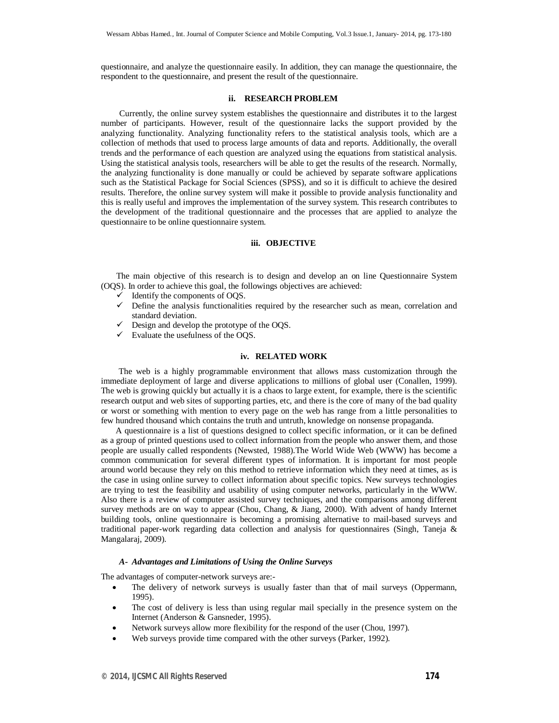questionnaire, and analyze the questionnaire easily. In addition, they can manage the questionnaire, the respondent to the questionnaire, and present the result of the questionnaire.

### **ii. RESEARCH PROBLEM**

Currently, the online survey system establishes the questionnaire and distributes it to the largest number of participants. However, result of the questionnaire lacks the support provided by the analyzing functionality. Analyzing functionality refers to the statistical analysis tools, which are a collection of methods that used to process large amounts of data and reports. Additionally, the overall trends and the performance of each question are analyzed using the equations from statistical analysis. Using the statistical analysis tools, researchers will be able to get the results of the research. Normally, the analyzing functionality is done manually or could be achieved by separate software applications such as the Statistical Package for Social Sciences (SPSS), and so it is difficult to achieve the desired results. Therefore, the online survey system will make it possible to provide analysis functionality and this is really useful and improves the implementation of the survey system. This research contributes to the development of the traditional questionnaire and the processes that are applied to analyze the questionnaire to be online questionnaire system.

# **iii. OBJECTIVE**

The main objective of this research is to design and develop an on line Questionnaire System (OQS). In order to achieve this goal, the followings objectives are achieved:

- $\checkmark$  Identify the components of OQS.
- $\checkmark$  Define the analysis functionalities required by the researcher such as mean, correlation and standard deviation.
- $\checkmark$  Design and develop the prototype of the OQS.
- $\checkmark$  Evaluate the usefulness of the OQS.

# **iv. RELATED WORK**

 The web is a highly programmable environment that allows mass customization through the immediate deployment of large and diverse applications to millions of global user (Conallen, 1999). The web is growing quickly but actually it is a chaos to large extent, for example, there is the scientific research output and web sites of supporting parties, etc, and there is the core of many of the bad quality or worst or something with mention to every page on the web has range from a little personalities to few hundred thousand which contains the truth and untruth, knowledge on nonsense propaganda.

 A questionnaire is a list of questions designed to collect specific information, or it can be defined as a group of printed questions used to collect information from the people who answer them, and those people are usually called respondents (Newsted, 1988).The World Wide Web (WWW) has become a common communication for several different types of information. It is important for most people around world because they rely on this method to retrieve information which they need at times, as is the case in using online survey to collect information about specific topics. New surveys technologies are trying to test the feasibility and usability of using computer networks, particularly in the WWW. Also there is a review of computer assisted survey techniques, and the comparisons among different survey methods are on way to appear (Chou, Chang, & Jiang, 2000). With advent of handy Internet building tools, online questionnaire is becoming a promising alternative to mail-based surveys and traditional paper-work regarding data collection and analysis for questionnaires (Singh, Taneja & Mangalaraj, 2009).

#### *A- Advantages and Limitations of Using the Online Surveys*

The advantages of computer-network surveys are:-

- The delivery of network surveys is usually faster than that of mail surveys (Oppermann, 1995).
- The cost of delivery is less than using regular mail specially in the presence system on the Internet (Anderson & Gansneder, 1995).
- Network surveys allow more flexibility for the respond of the user (Chou, 1997).
- Web surveys provide time compared with the other surveys (Parker, 1992).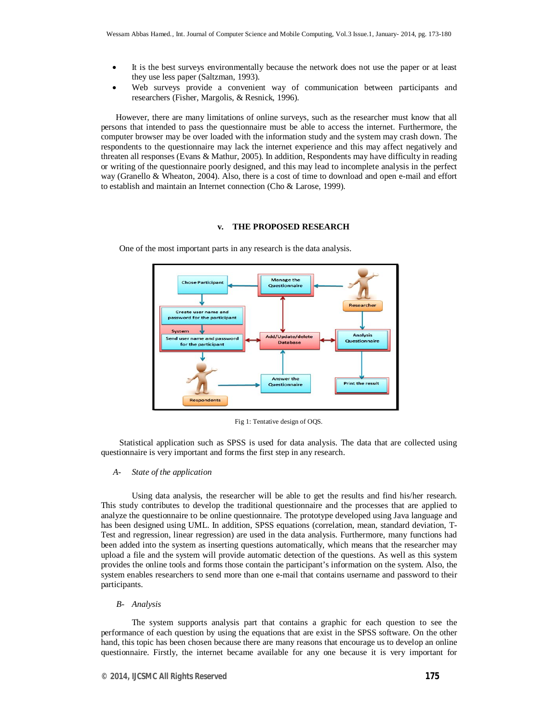- It is the best surveys environmentally because the network does not use the paper or at least they use less paper (Saltzman, 1993).
- Web surveys provide a convenient way of communication between participants and researchers (Fisher, Margolis, & Resnick, 1996).

 However, there are many limitations of online surveys, such as the researcher must know that all persons that intended to pass the questionnaire must be able to access the internet. Furthermore, the computer browser may be over loaded with the information study and the system may crash down. The respondents to the questionnaire may lack the internet experience and this may affect negatively and threaten all responses (Evans & Mathur, 2005). In addition, Respondents may have difficulty in reading or writing of the questionnaire poorly designed, and this may lead to incomplete analysis in the perfect way (Granello & Wheaton, 2004). Also, there is a cost of time to download and open e-mail and effort to establish and maintain an Internet connection (Cho & Larose, 1999).

# **v. THE PROPOSED RESEARCH**



One of the most important parts in any research is the data analysis.

Fig 1: Tentative design of OQS.

Statistical application such as SPSS is used for data analysis. The data that are collected using questionnaire is very important and forms the first step in any research.

# *A- State of the application*

Using data analysis, the researcher will be able to get the results and find his/her research. This study contributes to develop the traditional questionnaire and the processes that are applied to analyze the questionnaire to be online questionnaire. The prototype developed using Java language and has been designed using UML. In addition, SPSS equations (correlation, mean, standard deviation, T-Test and regression, linear regression) are used in the data analysis. Furthermore, many functions had been added into the system as inserting questions automatically, which means that the researcher may upload a file and the system will provide automatic detection of the questions. As well as this system provides the online tools and forms those contain the participant's information on the system. Also, the system enables researchers to send more than one e-mail that contains username and password to their participants.

#### *B- Analysis*

The system supports analysis part that contains a graphic for each question to see the performance of each question by using the equations that are exist in the SPSS software. On the other hand, this topic has been chosen because there are many reasons that encourage us to develop an online questionnaire. Firstly, the internet became available for any one because it is very important for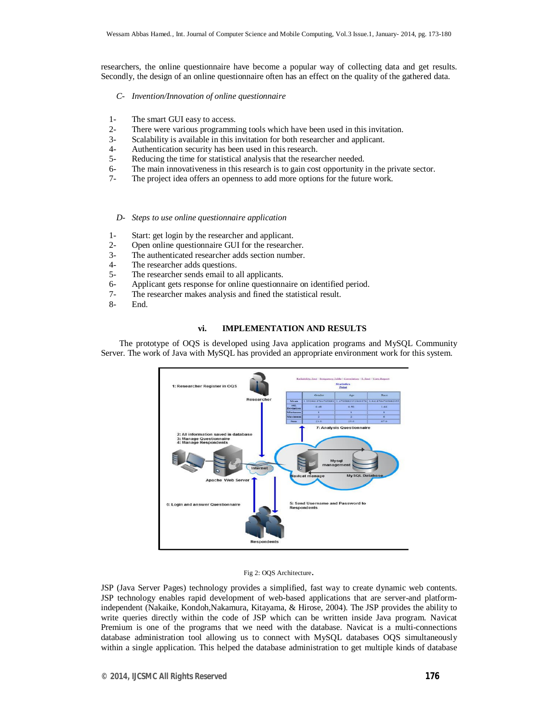researchers, the online questionnaire have become a popular way of collecting data and get results. Secondly, the design of an online questionnaire often has an effect on the quality of the gathered data.

- *C- Invention/Innovation of online questionnaire*
- 1- The smart GUI easy to access.
- 2- There were various programming tools which have been used in this invitation.
- 3- Scalability is available in this invitation for both researcher and applicant.
- 4- Authentication security has been used in this research.<br>5- Reducing the time for statistical analysis that the resea
- Reducing the time for statistical analysis that the researcher needed.
- 6- The main innovativeness in this research is to gain cost opportunity in the private sector.
- 7- The project idea offers an openness to add more options for the future work.
	- *D- Steps to use online questionnaire application*
- 1- Start: get login by the researcher and applicant.
- 2- Open online questionnaire GUI for the researcher.
- 3- The authenticated researcher adds section number.
- 4- The researcher adds questions.<br>5- The researcher sends email to a
- The researcher sends email to all applicants.
- 6- Applicant gets response for online questionnaire on identified period.
- 7- The researcher makes analysis and fined the statistical result.
- 8- End.

# **vi. IMPLEMENTATION AND RESULTS**

The prototype of OQS is developed using Java application programs and MySQL Community Server. The work of Java with MySQL has provided an appropriate environment work for this system.



#### Fig 2: OQS Architecture.

JSP (Java Server Pages) technology provides a simplified, fast way to create dynamic web contents. JSP technology enables rapid development of web-based applications that are server-and platformindependent (Nakaike, Kondoh,Nakamura, Kitayama, & Hirose, 2004). The JSP provides the ability to write queries directly within the code of JSP which can be written inside Java program. Navicat Premium is one of the programs that we need with the database. Navicat is a multi-connections database administration tool allowing us to connect with MySQL databases OQS simultaneously within a single application. This helped the database administration to get multiple kinds of database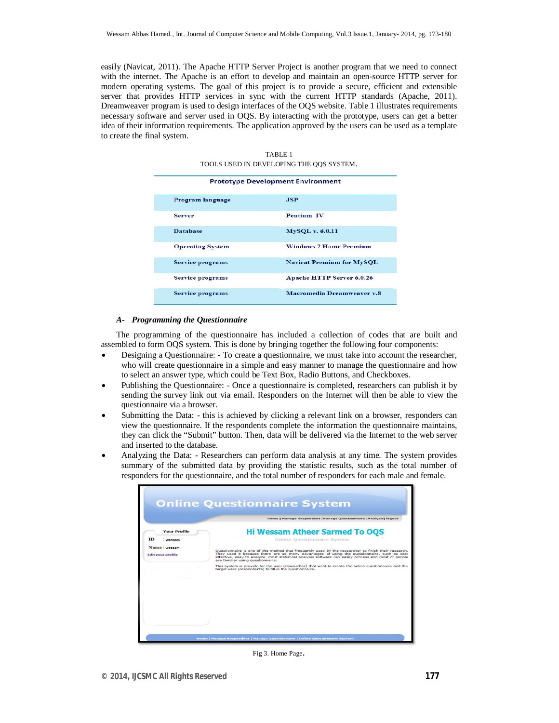easily (Navicat, 2011). The Apache HTTP Server Project is another program that we need to connect with the internet. The Apache is an effort to develop and maintain an open-source HTTP server for modern operating systems. The goal of this project is to provide a secure, efficient and extensible server that provides HTTP services in sync with the current HTTP standards (Apache, 2011). Dreamweaver program is used to design interfaces of the OQS website. Table 1 illustrates requirements necessary software and server used in OQS. By interacting with the prototype, users can get a better idea of their information requirements. The application approved by the users can be used as a template to create the final system.

| <b>Prototype Development Environment</b> |                                  |  |  |  |
|------------------------------------------|----------------------------------|--|--|--|
| Program language                         | <b>JSP</b>                       |  |  |  |
| <b>Server</b>                            | Pentium IV                       |  |  |  |
| <b>Database</b>                          | <b>MySQL v. 6.0.11</b>           |  |  |  |
| <b>Operating System</b>                  | <b>Windows 7 Home Premium</b>    |  |  |  |
| <b>Service programs</b>                  | <b>Navicat Premium for MySQL</b> |  |  |  |
| <b>Service programs</b>                  | <b>Apache HTTP Server 6.0.26</b> |  |  |  |
| <b>Service programs</b>                  | Macromedia Dreamweaver v.8       |  |  |  |

TABLE 1 TOOLS USED IN DEVELOPING THE QQS SYSTEM.

#### *A- Programming the Questionnaire*

The programming of the questionnaire has included a collection of codes that are built and assembled to form OQS system. This is done by bringing together the following four components:

- Designing a Questionnaire: To create a questionnaire, we must take into account the researcher, who will create questionnaire in a simple and easy manner to manage the questionnaire and how to select an answer type, which could be Text Box, Radio Buttons, and Checkboxes.
- Publishing the Questionnaire: Once a questionnaire is completed, researchers can publish it by sending the survey link out via email. Responders on the Internet will then be able to view the questionnaire via a browser.
- Submitting the Data: this is achieved by clicking a relevant link on a browser, responders can view the questionnaire. If the respondents complete the information the questionnaire maintains, they can click the "Submit" button. Then, data will be delivered via the Internet to the web server and inserted to the database.
- Analyzing the Data: Researchers can perform data analysis at any time. The system provides summary of the submitted data by providing the statistic results, such as the total number of responders for the questionnaire, and the total number of responders for each male and female.

|                                          | Home   Manage Respondent   Manage Questionnaire   Analysis  logout                                                                                                                                                                                                                                                                             |
|------------------------------------------|------------------------------------------------------------------------------------------------------------------------------------------------------------------------------------------------------------------------------------------------------------------------------------------------------------------------------------------------|
| <b>Your Profile</b>                      | <b>Hi Wessam Atheer Sarmed To OOS</b>                                                                                                                                                                                                                                                                                                          |
| ID<br>- Wessam                           | Online Questionnaire System                                                                                                                                                                                                                                                                                                                    |
| Name: wessam<br><b>Edit your profile</b> | Questionnaire is one of the method that frequently used by the researcher to finish their research.<br>They used it because there are so many advantages of using the questionnaire, such as cost<br>effective, easy to analyze, most statistical analysis software can easily process and most of people<br>are familiar using questionnaire. |
|                                          | This system is provide for the user (researcher) that want to create the online questionnaire and the<br>target user (respondents) to fill in the questionnaire.                                                                                                                                                                               |
|                                          |                                                                                                                                                                                                                                                                                                                                                |
|                                          |                                                                                                                                                                                                                                                                                                                                                |
|                                          |                                                                                                                                                                                                                                                                                                                                                |
|                                          |                                                                                                                                                                                                                                                                                                                                                |
|                                          |                                                                                                                                                                                                                                                                                                                                                |
|                                          |                                                                                                                                                                                                                                                                                                                                                |

Fig 3. Home Page.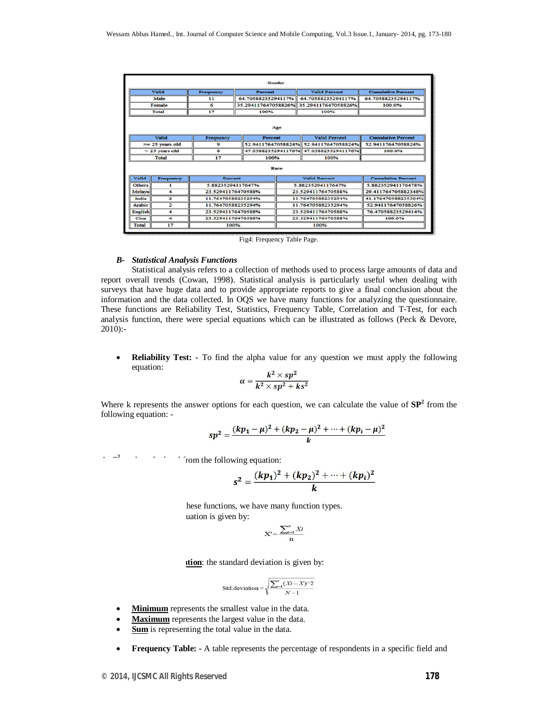| Gender                                                                                           |                        |                    |                     |                                       |                                       |                           |  |
|--------------------------------------------------------------------------------------------------|------------------------|--------------------|---------------------|---------------------------------------|---------------------------------------|---------------------------|--|
|                                                                                                  | <b>Valid</b>           | Frequency          | <b>Percent</b>      |                                       | <b>Valid Percent</b>                  | <b>Cumulative Percent</b> |  |
|                                                                                                  | Male                   | 11                 | 64.70588235294117%  |                                       | 64.70588235294117%                    | 64.70588235294117%        |  |
|                                                                                                  | Female                 | 6                  | 35.294117647058826% |                                       | 35.294117647058826%                   | 100.0%                    |  |
|                                                                                                  | <b>Total</b>           | 17                 | 100%                |                                       | 100%                                  |                           |  |
| Age<br><b>Valid</b><br><b>Valid Percent</b><br><b>Cumulative Percent</b><br>Frequency<br>Percent |                        |                    |                     |                                       |                                       |                           |  |
|                                                                                                  | $>= 25$ years old<br>9 |                    |                     | 52.94117647058824% 52.94117647058824% | 52.94117647058824%                    |                           |  |
|                                                                                                  | < 25 years old         | $\mathbf{s}$       |                     |                                       | 47.05882352941176% 47.05882352941176% | 100.0%                    |  |
|                                                                                                  | Total                  | 17                 | 100%                |                                       | 100%                                  |                           |  |
| Race                                                                                             |                        |                    |                     |                                       |                                       |                           |  |
| <b>Valid</b>                                                                                     | Frequency              | Percent            |                     |                                       | <b>Valid Percent</b>                  | <b>Cumulative Percent</b> |  |
| <b>Others</b>                                                                                    |                        |                    | 5.88235294117647%   |                                       | 5.88235294117647%                     | 5.882352941176478%        |  |
| Melavu                                                                                           | $\blacktriangleleft$   |                    | 23.52941176470588%  |                                       | 23.52941176470588%                    | 29.411764705882348%       |  |
| India                                                                                            | $\overline{a}$         | 11.76470588235294% |                     | 11.76470588235294%                    |                                       | 41.176470588235304%       |  |
| <b>Arabic</b>                                                                                    | $\overline{2}$         | 11.76470588235294% |                     | 11.76470588235294%                    |                                       | 52.94117647058826%        |  |
| <b>English</b>                                                                                   | 4                      | 23.52941176470588% |                     | 23.52941176470588%                    |                                       | 76.47058823529414%        |  |
| Cina                                                                                             | 4                      |                    | 23.52941176470588%  |                                       | 23.52941176470588%                    | 100.0%                    |  |
| <b>Total</b>                                                                                     | 17                     |                    | 100%                |                                       | 100%                                  |                           |  |

Fig4: Frequency Table Page.

#### *B- Statistical Analysis Functions*

Statistical analysis refers to a collection of methods used to process large amounts of data and report overall trends (Cowan, 1998). Statistical analysis is particularly useful when dealing with surveys that have huge data and to provide appropriate reports to give a final conclusion about the information and the data collected. In OQS we have many functions for analyzing the questionnaire. These functions are Reliability Test, Statistics, Frequency Table, Correlation and T-Test, for each analysis function, there were special equations which can be illustrated as follows (Peck & Devore,  $2010$ :-

 **Reliability Test: -** To find the alpha value for any question we must apply the following equation:

$$
\alpha = \frac{k^2 \times sp^2}{k^2 \times sp^2 + ks^2}
$$

Where k represents the answer options for each question, we can calculate the value of  $SP<sup>2</sup>$  from the following equation: -

$$
sp^2 = \frac{(kp_1 - \mu)^2 + (kp_2 - \mu)^2 + \dots + (kp_i - \mu)^2}{k}
$$

 $\therefore$   $\alpha^2$  **b**  $\therefore$   $\therefore$   $\therefore$   $\therefore$   $\therefore$   $\therefore$   $\therefore$   $\therefore$   $\therefore$   $\therefore$   $\therefore$   $\therefore$   $\therefore$   $\therefore$   $\therefore$   $\therefore$   $\therefore$   $\therefore$   $\therefore$   $\therefore$   $\therefore$   $\therefore$   $\therefore$   $\therefore$   $\therefore$   $\therefore$   $\therefore$   $\therefore$   $\therefore$   $\therefore$   $\therefore$   $\therefore$   $\therefore$   $\therefore$ 

$$
s^{2} = \frac{(kp_{1})^{2} + (kp_{2})^{2} + \dots + (kp_{i})^{2}}{k}
$$

hese functions, we have many function types. uation is given by:

$$
\mathbf{X}' = \frac{\sum_{i=1}^{n} X_i}{n}
$$

**stion:** the standard deviation is given by:

$$
\text{Std.deviation} = \sqrt{\frac{\sum_{i=1}^{n} (Xi - X)^{2}}{N - 1}}
$$

- **Minimum** represents the smallest value in the data.
- **Maximum** represents the largest value in the data.
- **Sum** is representing the total value in the data.
- **Frequency Table: -** A table represents the percentage of respondents in a specific field and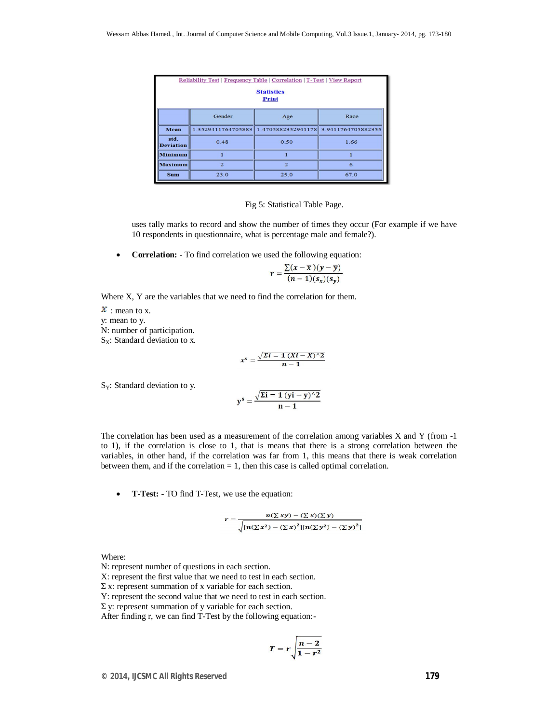| Reliability Test   Frequency Table   Correlation   T-Test   View Report<br><b>Statistics</b><br><b>Print</b> |        |                                                          |      |  |  |  |  |  |
|--------------------------------------------------------------------------------------------------------------|--------|----------------------------------------------------------|------|--|--|--|--|--|
|                                                                                                              | Gender | Age                                                      | Race |  |  |  |  |  |
| Mean                                                                                                         |        | 1.3529411764705883 1.4705882352941178 3.9411764705882355 |      |  |  |  |  |  |
| std.<br><b>Deviation</b>                                                                                     | 0.48   | 0.50                                                     | 1.66 |  |  |  |  |  |
| <b>Minimum</b>                                                                                               |        |                                                          |      |  |  |  |  |  |
| <b>Maximum</b><br>$\overline{2}$                                                                             |        | $\overline{2}$                                           | 6    |  |  |  |  |  |
| <b>Sum</b>                                                                                                   | 23.0   | 25.0                                                     | 67.0 |  |  |  |  |  |

#### Fig 5: Statistical Table Page.

uses tally marks to record and show the number of times they occur (For example if we have 10 respondents in questionnaire, what is percentage male and female?).

**Correlation:** - To find correlation we used the following equation:

$$
r = \frac{\sum (x - \overline{x})(y - \overline{y})}{(n-1)(s_x)(s_y)}
$$

Where X, Y are the variables that we need to find the correlation for them.

 $x$ : mean to x. y: mean to y. N: number of participation.  $S_X$ : Standard deviation to x.

$$
x^s = \frac{\sqrt{\Sigma i} = 1 (Xi - X)^2}{n-1}
$$

 $S_Y$ : Standard deviation to y.

$$
y^s = \frac{\sqrt{\Sigma i} = 1 (yi - y)^{\wedge} 2}{n - 1}
$$

The correlation has been used as a measurement of the correlation among variables X and Y (from -1 to 1), if the correlation is close to 1, that is means that there is a strong correlation between the variables, in other hand, if the correlation was far from 1, this means that there is weak correlation between them, and if the correlation  $= 1$ , then this case is called optimal correlation.

**T-Test: -** TO find T-Test, we use the equation:

$$
r = \frac{n(\Sigma xy) - (\Sigma x)(\Sigma y)}{\sqrt{[n(\Sigma x^2) - (\Sigma x)^2][n(\Sigma y^2) - (\Sigma y)^2]}}
$$

Where:

N: represent number of questions in each section.

X: represent the first value that we need to test in each section.

 $\Sigma$  x: represent summation of x variable for each section.

Y: represent the second value that we need to test in each section.

 $Σ$  y: represent summation of y variable for each section.

After finding r, we can find T-Test by the following equation:-

$$
T=r\sqrt{\frac{n-2}{1-r^2}}
$$